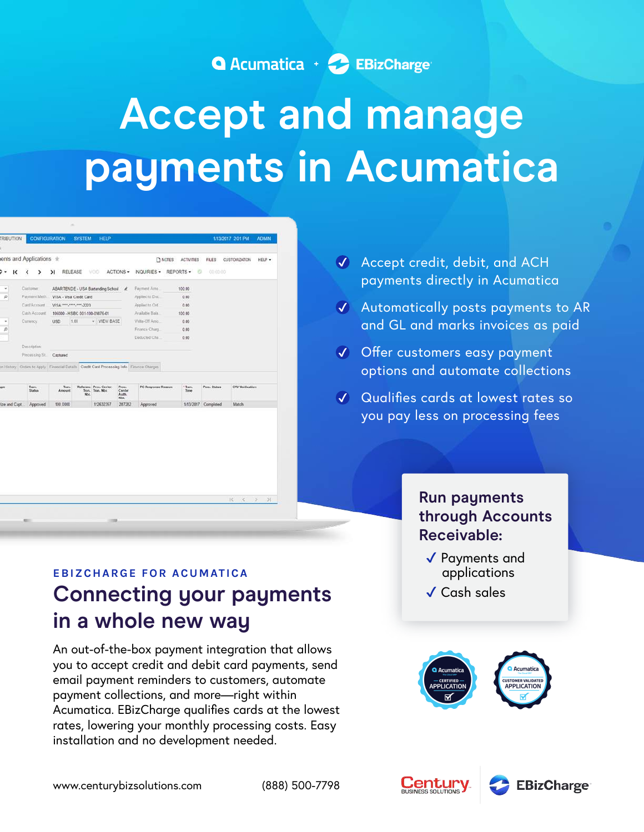

# **Accept and manage payments in Acumatica**

| к                 |                 | ents and Applications *        |      |                                           |                          |                           | <b>D</b> NOTES | <b>ACTIVITIES</b> | <b>FILES</b>        | <b>CUSTOMIZATION</b> |                        | HELP . |
|-------------------|-----------------|--------------------------------|------|-------------------------------------------|--------------------------|---------------------------|----------------|-------------------|---------------------|----------------------|------------------------|--------|
|                   |                 |                                |      |                                           | ACTIONS -                |                           |                | o                 | 00:00:00            |                      |                        |        |
|                   | ł<br>۰,         | RELEASE<br>Ы                   |      | VOID.                                     |                          | INQUIRIES -               |                | REPORTS -         |                     |                      |                        |        |
| ٠                 | Customer        |                                |      | ABARTENDE - USA Bartending School &       |                          | Payment Amo.              |                | 100.00            |                     |                      |                        |        |
| p                 | Payment Meth.   | VISA - Visa Credit Card        |      |                                           |                          | Applied to Doc.           |                | 0.00              |                     |                      |                        |        |
|                   | CardiAccount    | VISA ****.****.****.2223       |      |                                           |                          | Applied to Ord.           |                | 0.00              |                     |                      |                        |        |
|                   | Cash Account    | 105000 - HSBC 001-100-09876-01 |      |                                           |                          | Available Bala.           |                | 100.00            |                     |                      |                        |        |
| ٠                 | Currency:       | USD.                           | 1.00 | - VIEW BASE                               |                          | Wilte-Off Areo            |                | 0.00              |                     |                      |                        |        |
| $\overline{\rho}$ |                 |                                |      |                                           |                          | Financa Charg.            |                | 0.00              |                     |                      |                        |        |
|                   |                 |                                |      |                                           |                          | Deducted Cha:             |                | 0.00              |                     |                      |                        |        |
|                   | Description:    |                                |      |                                           |                          |                           |                |                   |                     |                      |                        |        |
|                   | Processing St.  | Captured                       |      |                                           |                          |                           |                |                   |                     |                      |                        |        |
|                   | Tran.<br>Status | Tran.<br>Arnount<br>Nbc        |      | Referenc Proc. Center<br>Tran. Tran. Nbr. | Proc.<br>Center<br>Auth. | <b>PC Response Reason</b> |                | + Team.<br>Time   | Proc. Status        |                      | <b>CVV Ventication</b> |        |
| ze and Capt.      | Approved        | 100.0000                       |      | 112632357                                 | NDC<br>287282            | Approved                  |                |                   | 1/13/2017 Completed |                      | Match                  |        |
|                   |                 |                                |      |                                           |                          |                           |                |                   |                     |                      |                        |        |

## **Connecting your payments in a whole new way EBIZCHARGE FOR ACUMATICA**

An out-of-the-box payment integration that allows you to accept credit and debit card payments, send email payment reminders to customers, automate payment collections, and more—right within Acumatica. EBizCharge qualifies cards at the lowest rates, lowering your monthly processing costs. Easy installation and no development needed.

- Accept credit, debit, and ACH payments directly in Acumatica
- Automatically posts payments to AR and GL and marks invoices as paid
- Offer customers easy payment options and automate collections
- Qualifies cards at lowest rates so you pay less on processing fees

## **Run payments through Accounts Receivable:**

- ✔ Payments and applications
- ✔ Cash sales

Century



**EBizCharge**